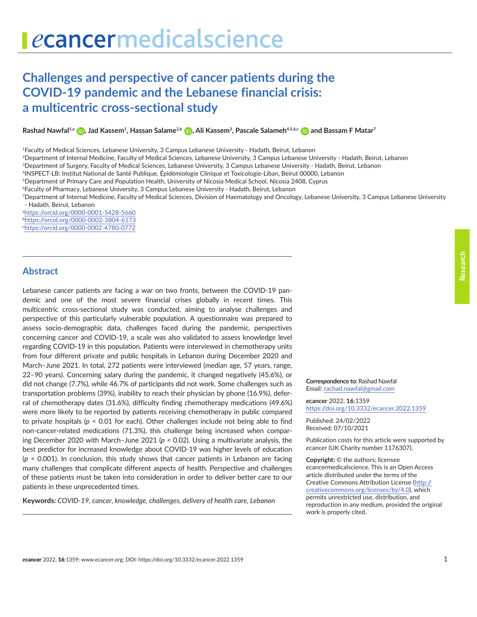# **Challenges and perspective of cancer patients during the COVID-19 pandemic and the Lebanese financial crisis: a multicentric cross-sectional study**

**Rashad Nawfal1,a [,](https://orcid.org/0000-0001-5428-5660) Jad Kassem1, Hassan Salame2,b [,](https://orcid.org/0000-0002-3804-6173) Ali Kassem3, Pascale Salameh4,5,6,c [a](https://orcid.org/0000-0002-4780-0772)nd Bassam F Matar7**

1Faculty of Medical Sciences, Lebanese University, 3 Campus Lebanese University - Hadath, Beirut, Lebanon

<sup>2</sup>Department of Internal Medicine, Faculty of Medical Sciences, Lebanese University, 3 Campus Lebanese University - Hadath, Beirut, Lebanon

3Department of Surgery, Faculty of Medical Sciences, Lebanese University, 3 Campus Lebanese University - Hadath, Beirut, Lebanon

4INSPECT-LB: Institut National de Santé Publique, Épidémiologie Clinique et Toxicologie-Liban, Beirut 00000, Lebanon

5Department of Primary Care and Population Health, University of Nicosia Medical School, Nicosia 2408, Cyprus

6Faculty of Pharmacy, Lebanese University, 3 Campus Lebanese University - Hadath, Beirut, Lebanon

7Department of Internal Medicine, Faculty of Medical Sciences, Division of Haematology and Oncology, Lebanese University, 3 Campus Lebanese University - Hadath, Beirut, Lebanon

a <https://orcid.org/0000-0001-5428-5660> b <https://orcid.org/0000-0002-3804-6173> c <https://orcid.org/0000-0002-4780-0772>

# **Abstract**

Lebanese cancer patients are facing a war on two fronts, between the COVID-19 pandemic and one of the most severe financial crises globally in recent times. This multicentric cross-sectional study was conducted, aiming to analyse challenges and perspective of this particularly vulnerable population. A questionnaire was prepared to assess socio-demographic data, challenges faced during the pandemic, perspectives concerning cancer and COVID-19, a scale was also validated to assess knowledge level regarding COVID-19 in this population. Patients were interviewed in chemotherapy units from four different private and public hospitals in Lebanon during December 2020 and March–June 2021. In total, 272 patients were interviewed (median age, 57 years, range, 22–90 years). Concerning salary during the pandemic, it changed negatively (45.6%), or did not change (7.7%), while 46.7% of participants did not work. Some challenges such as transportation problems (39%), inability to reach their physician by phone (16.9%), deferral of chemotherapy dates (31.6%), difficulty finding chemotherapy medications (49.6%) were more likely to be reported by patients receiving chemotherapy in public compared to private hospitals  $(p < 0.01$  for each). Other challenges include not being able to find non-cancer-related medications (71.3%), this challenge being increased when comparing December 2020 with March–June 2021 (*p* < 0.02). Using a multivariate analysis, the best predictor for increased knowledge about COVID-19 was higher levels of education (*p* < 0.001). In conclusion, this study shows that cancer patients in Lebanon are facing many challenges that complicate different aspects of health. Perspective and challenges of these patients must be taken into consideration in order to deliver better care to our patients in these unprecedented times.

**Keywords:** *COVID-19, cancer, knowledge, challenges, delivery of health care, Lebanon*

**Correspondence to:** Rashad Nawfal Email: [rachad.nawfal@gmail.com](mailto:rachad.nawfal@gmail.com)

*e***cancer** 2022, **16**:1359 [https://doi.org/10.3332/ecancer.2022.135](https://doi.org/10.3332/ecancer.2022.1359)9

Published: 24/02/2022 Received: 07/10/2021

Publication costs for this article were supported by *e*cancer (UK Charity number 1176307).

**Copyright:** © the authors; licensee *e*cancermedicalscience. This is an Open Access article distributed under the terms of the Creative Commons Attribution License (http:// creativecommons.org/licenses/by/4.0), which permits unrestricted use, distribution, and reproduction in any medium, provided the original work is properly cited.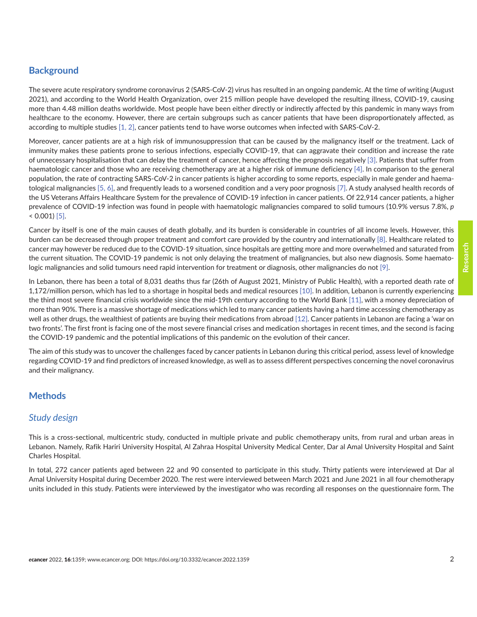# **Background**

The severe acute respiratory syndrome coronavirus 2 (SARS-CoV-2) virus has resulted in an ongoing pandemic. At the time of writing (August 2021), and according to the World Health Organization, over 215 million people have developed the resulting illness, COVID-19, causing more than 4.48 million deaths worldwide. Most people have been either directly or indirectly affected by this pandemic in many ways from healthcare to the economy. However, there are certain subgroups such as cancer patients that have been disproportionately affected, as according to multiple studies [\[1,](#page-12-0) [2\],](#page-12-0) cancer patients tend to have worse outcomes when infected with SARS-CoV-2.

Moreover, cancer patients are at a high risk of immunosuppression that can be caused by the malignancy itself or the treatment. Lack of immunity makes these patients prone to serious infections, especially COVID-19, that can aggravate their condition and increase the rate of unnecessary hospitalisation that can delay the treatment of cancer, hence affecting the prognosis negatively [\[3\].](#page-12-0) Patients that suffer from haematologic cancer and those who are receiving chemotherapy are at a higher risk of immune deficiency [\[4\]](#page-12-0). In comparison to the general population, the rate of contracting SARS-CoV-2 in cancer patients is higher according to some reports, especially in male gender and haematological malignancies [\[5,](#page-12-0) [6\],](#page-12-0) and frequently leads to a worsened condition and a very poor prognosis [\[7\].](#page-12-0) A study analysed health records of the US Veterans Affairs Healthcare System for the prevalence of COVID-19 infection in cancer patients. Of 22,914 cancer patients, a higher prevalence of COVID-19 infection was found in people with haematologic malignancies compared to solid tumours (10.9% versus 7.8%, *p*  $< 0.001$  [\[5\].](#page-12-0)

Cancer by itself is one of the main causes of death globally, and its burden is considerable in countries of all income levels. However, this burden can be decreased through proper treatment and comfort care provided by the country and internationally [\[8\].](#page-12-0) Healthcare related to cancer may however be reduced due to the COVID-19 situation, since hospitals are getting more and more overwhelmed and saturated from the current situation. The COVID-19 pandemic is not only delaying the treatment of malignancies, but also new diagnosis. Some haematologic malignancies and solid tumours need rapid intervention for treatment or diagnosis, other malignancies do not [\[9\].](#page-12-0)

In Lebanon, there has been a total of 8,031 deaths thus far (26th of August 2021, Ministry of Public Health), with a reported death rate of 1,172/million person, which has led to a shortage in hospital beds and medical resources [\[10\].](#page-12-0) In addition, Lebanon is currently experiencing the third most severe financial crisis worldwide since the mid-19th century according to the World Bank [\[11\],](#page-12-0) with a money depreciation of more than 90%. There is a massive shortage of medications which led to many cancer patients having a hard time accessing chemotherapy as well as other drugs, the wealthiest of patients are buying their medications from abroad [\[12\].](#page-12-0) Cancer patients in Lebanon are facing a 'war on two fronts'. The first front is facing one of the most severe financial crises and medication shortages in recent times, and the second is facing the COVID-19 pandemic and the potential implications of this pandemic on the evolution of their cancer.

The aim of this study was to uncover the challenges faced by cancer patients in Lebanon during this critical period, assess level of knowledge regarding COVID-19 and find predictors of increased knowledge, as well as to assess different perspectives concerning the novel coronavirus and their malignancy.

# **Methods**

# *Study design*

This is a cross-sectional, multicentric study, conducted in multiple private and public chemotherapy units, from rural and urban areas in Lebanon. Namely, Rafik Hariri University Hospital, Al Zahraa Hospital University Medical Center, Dar al Amal University Hospital and Saint Charles Hospital.

In total, 272 cancer patients aged between 22 and 90 consented to participate in this study. Thirty patients were interviewed at Dar al Amal University Hospital during December 2020. The rest were interviewed between March 2021 and June 2021 in all four chemotherapy units included in this study. Patients were interviewed by the investigator who was recording all responses on the questionnaire form. The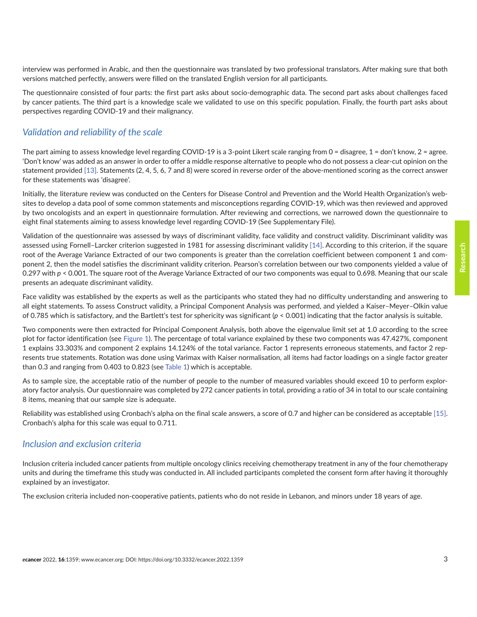interview was performed in Arabic, and then the questionnaire was translated by two professional translators. After making sure that both versions matched perfectly, answers were filled on the translated English version for all participants.

The questionnaire consisted of four parts: the first part asks about socio-demographic data. The second part asks about challenges faced by cancer patients. The third part is a knowledge scale we validated to use on this specific population. Finally, the fourth part asks about perspectives regarding COVID-19 and their malignancy.

# *Validation and reliability of the scale*

The part aiming to assess knowledge level regarding COVID-19 is a 3-point Likert scale ranging from  $0 =$  disagree,  $1 =$  don't know,  $2 =$  agree. 'Don't know' was added as an answer in order to offer a middle response alternative to people who do not possess a clear-cut opinion on the statement provided [\[13\].](#page-13-0) Statements (2, 4, 5, 6, 7 and 8) were scored in reverse order of the above-mentioned scoring as the correct answer for these statements was 'disagree'.

Initially, the literature review was conducted on the Centers for Disease Control and Prevention and the World Health Organization's websites to develop a data pool of some common statements and misconceptions regarding COVID-19, which was then reviewed and approved by two oncologists and an expert in questionnaire formulation. After reviewing and corrections, we narrowed down the questionnaire to eight final statements aiming to assess knowledge level regarding COVID-19 (See Supplementary File).

Validation of the questionnaire was assessed by ways of discriminant validity, face validity and construct validity. Discriminant validity was assessed using Fornell–Larcker criterion suggested in 1981 for assessing discriminant validity [\[14\].](#page-13-0) According to this criterion, if the square root of the Average Variance Extracted of our two components is greater than the correlation coefficient between component 1 and component 2, then the model satisfies the discriminant validity criterion. Pearson's correlation between our two components yielded a value of 0.297 with  $p < 0.001$ . The square root of the Average Variance Extracted of our two components was equal to 0.698. Meaning that our scale presents an adequate discriminant validity.

Face validity was established by the experts as well as the participants who stated they had no difficulty understanding and answering to all eight statements. To assess Construct validity, a Principal Component Analysis was performed, and yielded a Kaiser–Meyer–Olkin value of 0.785 which is satisfactory, and the Bartlett's test for sphericity was significant (*p* < 0.001) indicating that the factor analysis is suitable.

Two components were then extracted for Principal Component Analysis, both above the eigenvalue limit set at 1.0 according to the scree plot for factor identification (see [Figure 1\)](#page-3-0). The percentage of total variance explained by these two components was 47.427%, component 1 explains 33.303% and component 2 explains 14.124% of the total variance. Factor 1 represents erroneous statements, and factor 2 represents true statements. Rotation was done using Varimax with Kaiser normalisation, all items had factor loadings on a single factor greater than 0.3 and ranging from 0.403 to 0.823 (see [Table 1](#page-3-0)) which is acceptable.

As to sample size, the acceptable ratio of the number of people to the number of measured variables should exceed 10 to perform exploratory factor analysis. Our questionnaire was completed by 272 cancer patients in total, providing a ratio of 34 in total to our scale containing 8 items, meaning that our sample size is adequate.

Reliability was established using Cronbach's alpha on the final scale answers, a score of 0.7 and higher can be considered as acceptable [\[15\].](#page-13-0) Cronbach's alpha for this scale was equal to 0.711.

# *Inclusion and exclusion criteria*

Inclusion criteria included cancer patients from multiple oncology clinics receiving chemotherapy treatment in any of the four chemotherapy units and during the timeframe this study was conducted in. All included participants completed the consent form after having it thoroughly explained by an investigator.

The exclusion criteria included non-cooperative patients, patients who do not reside in Lebanon, and minors under 18 years of age.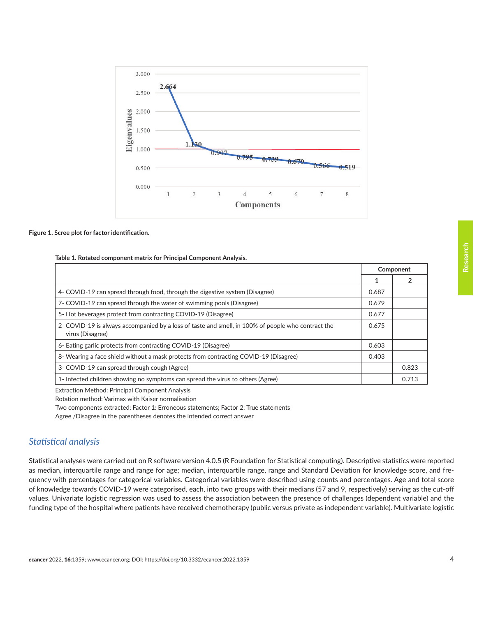<span id="page-3-0"></span>

#### **Figure 1. Scree plot for factor identification.**

#### **Table 1. Rotated component matrix for Principal Component Analysis.**

|                                                                                                                        |       | Component |
|------------------------------------------------------------------------------------------------------------------------|-------|-----------|
|                                                                                                                        |       |           |
| 4- COVID-19 can spread through food, through the digestive system (Disagree)                                           | 0.687 |           |
| 7- COVID-19 can spread through the water of swimming pools (Disagree)                                                  | 0.679 |           |
| 5- Hot beverages protect from contracting COVID-19 (Disagree)                                                          | 0.677 |           |
| 2- COVID-19 is always accompanied by a loss of taste and smell, in 100% of people who contract the<br>virus (Disagree) | 0.675 |           |
| 6- Eating garlic protects from contracting COVID-19 (Disagree)                                                         | 0.603 |           |
| 8- Wearing a face shield without a mask protects from contracting COVID-19 (Disagree)                                  | 0.403 |           |
| 3- COVID-19 can spread through cough (Agree)                                                                           |       | 0.823     |
| 1- Infected children showing no symptoms can spread the virus to others (Agree)                                        |       | 0.713     |

Extraction Method: Principal Component Analysis

Rotation method: Varimax with Kaiser normalisation

Two components extracted: Factor 1: Erroneous statements; Factor 2: True statements

Agree /Disagree in the parentheses denotes the intended correct answer

# *Statistical analysis*

Statistical analyses were carried out on R software version 4.0.5 (R Foundation for Statistical computing). Descriptive statistics were reported as median, interquartile range and range for age; median, interquartile range, range and Standard Deviation for knowledge score, and frequency with percentages for categorical variables. Categorical variables were described using counts and percentages. Age and total score of knowledge towards COVID-19 were categorised, each, into two groups with their medians (57 and 9, respectively) serving as the cut-off values. Univariate logistic regression was used to assess the association between the presence of challenges (dependent variable) and the funding type of the hospital where patients have received chemotherapy (public versus private as independent variable). Multivariate logistic

**Research**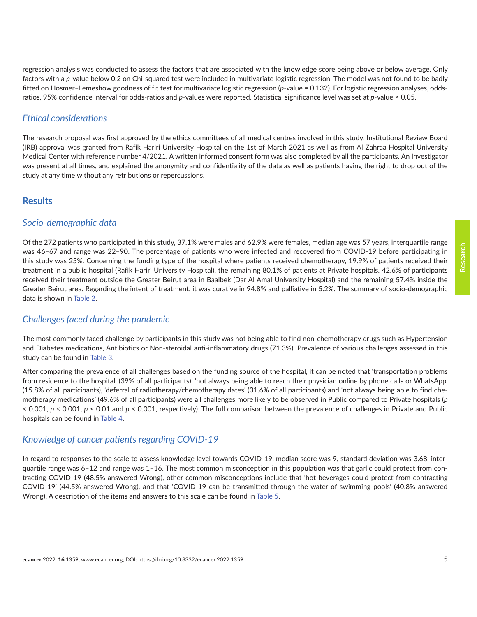regression analysis was conducted to assess the factors that are associated with the knowledge score being above or below average. Only factors with a *p*-value below 0.2 on Chi-squared test were included in multivariate logistic regression. The model was not found to be badly fitted on Hosmer–Lemeshow goodness of fit test for multivariate logistic regression (*p*-value = 0.132). For logistic regression analyses, oddsratios, 95% confidence interval for odds-ratios and *p*-values were reported. Statistical significance level was set at *p*-value < 0.05.

### *Ethical considerations*

The research proposal was first approved by the ethics committees of all medical centres involved in this study. Institutional Review Board (IRB) approval was granted from Rafik Hariri University Hospital on the 1st of March 2021 as well as from Al Zahraa Hospital University Medical Center with reference number 4/2021. A written informed consent form was also completed by all the participants. An Investigator was present at all times, and explained the anonymity and confidentiality of the data as well as patients having the right to drop out of the study at any time without any retributions or repercussions.

### **Results**

## *Socio-demographic data*

Of the 272 patients who participated in this study, 37.1% were males and 62.9% were females, median age was 57 years, interquartile range was 46–67 and range was 22–90. The percentage of patients who were infected and recovered from COVID-19 before participating in this study was 25%. Concerning the funding type of the hospital where patients received chemotherapy, 19.9% of patients received their treatment in a public hospital (Rafik Hariri University Hospital), the remaining 80.1% of patients at Private hospitals. 42.6% of participants received their treatment outside the Greater Beirut area in Baalbek (Dar Al Amal University Hospital) and the remaining 57.4% inside the Greater Beirut area. Regarding the intent of treatment, it was curative in 94.8% and palliative in 5.2%. The summary of socio-demographic data is shown in [Table 2.](#page-5-0)

# *Challenges faced during the pandemic*

The most commonly faced challenge by participants in this study was not being able to find non-chemotherapy drugs such as Hypertension and Diabetes medications, Antibiotics or Non-steroidal anti-inflammatory drugs (71.3%). Prevalence of various challenges assessed in this study can be found in [Table 3](#page-7-0).

After comparing the prevalence of all challenges based on the funding source of the hospital, it can be noted that 'transportation problems from residence to the hospital' (39% of all participants), 'not always being able to reach their physician online by phone calls or WhatsApp' (15.8% of all participants), 'deferral of radiotherapy/chemotherapy dates' (31.6% of all participants) and 'not always being able to find chemotherapy medications' (49.6% of all participants) were all challenges more likely to be observed in Public compared to Private hospitals (*p* < 0.001, *p* < 0.001, *p* < 0.01 and *p* < 0.001, respectively). The full comparison between the prevalence of challenges in Private and Public hospitals can be found in [Table 4](#page-7-0).

### *Knowledge of cancer patients regarding COVID-19*

In regard to responses to the scale to assess knowledge level towards COVID-19, median score was 9, standard deviation was 3.68, interquartile range was 6–12 and range was 1–16. The most common misconception in this population was that garlic could protect from contracting COVID-19 (48.5% answered Wrong), other common misconceptions include that 'hot beverages could protect from contracting COVID-19' (44.5% answered Wrong), and that 'COVID-19 can be transmitted through the water of swimming pools' (40.8% answered Wrong). A description of the items and answers to this scale can be found in [Table 5.](#page-8-0)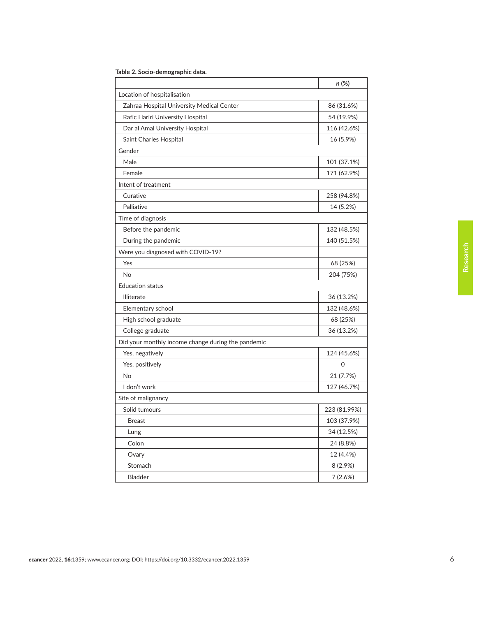|                                                    | n (%)        |
|----------------------------------------------------|--------------|
| Location of hospitalisation                        |              |
| Zahraa Hospital University Medical Center          | 86 (31.6%)   |
| Rafic Hariri University Hospital                   | 54 (19.9%)   |
| Dar al Amal University Hospital                    | 116 (42.6%)  |
| Saint Charles Hospital                             | 16 (5.9%)    |
| Gender                                             |              |
| Male                                               | 101 (37.1%)  |
| Female                                             | 171 (62.9%)  |
| Intent of treatment                                |              |
| Curative                                           | 258 (94.8%)  |
| Palliative                                         | 14 (5.2%)    |
| Time of diagnosis                                  |              |
| Before the pandemic                                | 132 (48.5%)  |
| During the pandemic                                | 140 (51.5%)  |
| Were you diagnosed with COVID-19?                  |              |
| Yes                                                | 68 (25%)     |
| No                                                 | 204 (75%)    |
| <b>Education status</b>                            |              |
| Illiterate                                         | 36 (13.2%)   |
| Elementary school                                  | 132 (48.6%)  |
| High school graduate                               | 68 (25%)     |
| College graduate                                   | 36 (13.2%)   |
| Did your monthly income change during the pandemic |              |
| Yes, negatively                                    | 124 (45.6%)  |
| Yes, positively                                    | 0            |
| No                                                 | 21 (7.7%)    |
| I don't work                                       | 127 (46.7%)  |
| Site of malignancy                                 |              |
| Solid tumours                                      | 223 (81.99%) |
| <b>Breast</b>                                      | 103 (37.9%)  |
| Lung                                               | 34 (12.5%)   |
| Colon                                              | 24 (8.8%)    |
| Ovary                                              | 12 (4.4%)    |
| Stomach                                            | 8 (2.9%)     |
| Bladder                                            | 7(2.6%)      |

<span id="page-5-0"></span>

|  |  |  | Table 2. Socio-demographic data. |  |  |
|--|--|--|----------------------------------|--|--|
|--|--|--|----------------------------------|--|--|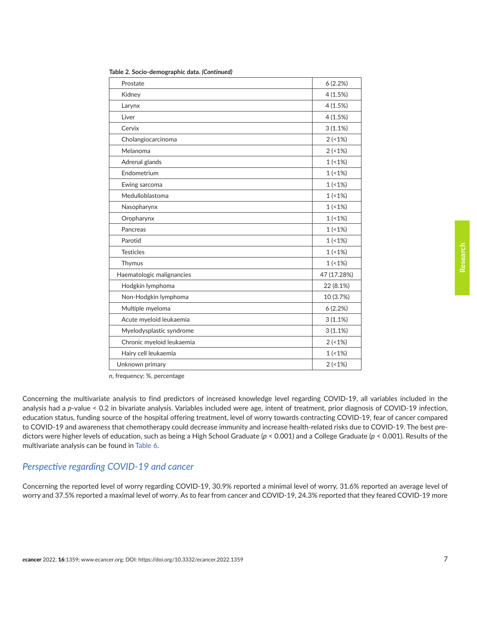| Prostate                  | 6(2.2%)     |
|---------------------------|-------------|
| Kidney                    | 4(1.5%)     |
| Larynx                    | 4(1.5%)     |
| Liver                     | 4(1.5%)     |
| Cervix                    | 3(1.1%)     |
| Cholangiocarcinoma        | 2(1%)       |
| Melanoma                  | 2(1%)       |
| Adrenal glands            | 1(1%)       |
| Endometrium               | 1(1%)       |
| Ewing sarcoma             | 1(1%        |
| Medulloblastoma           | 1(1%)       |
| Nasopharynx               | 1(1%)       |
| Oropharynx                | 1(1%)       |
| Pancreas                  | 1(1%)       |
| Parotid                   | 1(1%        |
| <b>Testicles</b>          | 1(1%)       |
| Thymus                    | 1(1%)       |
| Haematologic malignancies | 47 (17.28%) |
| Hodgkin lymphoma          | 22 (8.1%)   |
| Non-Hodgkin lymphoma      | 10 (3.7%)   |
| Multiple myeloma          | 6(2.2%)     |
| Acute myeloid leukaemia   | 3(1.1%)     |
| Myelodysplastic syndrome  | 3(1.1%)     |
| Chronic myeloid leukaemia | 2(1%)       |
| Hairy cell leukaemia      | 1(1%)       |
| Unknown primary           | 2(1%)       |

**Table 2. Socio-demographic data.** *(Continued)*

*n*, frequency; %, percentage

Concerning the multivariate analysis to find predictors of increased knowledge level regarding COVID-19, all variables included in the analysis had a *p*-value < 0.2 in bivariate analysis. Variables included were age, intent of treatment, prior diagnosis of COVID-19 infection, education status, funding source of the hospital offering treatment, level of worry towards contracting COVID-19, fear of cancer compared to COVID-19 and awareness that chemotherapy could decrease immunity and increase health-related risks due to COVID-19. The best predictors were higher levels of education, such as being a High School Graduate (*p* < 0.001) and a College Graduate (*p* < 0.001). Results of the multivariate analysis can be found in [Table 6](#page-9-0).

#### *Perspective regarding COVID-19 and cancer*

Concerning the reported level of worry regarding COVID-19, 30.9% reported a minimal level of worry, 31.6% reported an average level of worry and 37.5% reported a maximal level of worry. As to fear from cancer and COVID-19, 24.3% reported that they feared COVID-19 more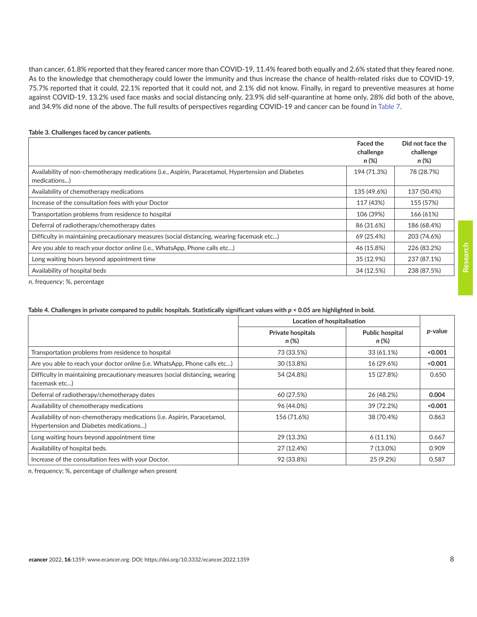<span id="page-7-0"></span>than cancer, 61.8% reported that they feared cancer more than COVID-19, 11.4% feared both equally and 2.6% stated that they feared none. As to the knowledge that chemotherapy could lower the immunity and thus increase the chance of health-related risks due to COVID-19, 75.7% reported that it could, 22.1% reported that it could not, and 2.1% did not know. Finally, in regard to preventive measures at home against COVID-19, 13.2% used face masks and social distancing only, 23.9% did self-quarantine at home only, 28% did both of the above, and 34.9% did none of the above. The full results of perspectives regarding COVID-19 and cancer can be found in [Table 7.](#page-10-0)

|                                                                                                                     | <b>Faced the</b><br>challenge<br>n (%) | Did not face the<br>challenge<br>n (%) |
|---------------------------------------------------------------------------------------------------------------------|----------------------------------------|----------------------------------------|
| Availability of non-chemotherapy medications (i.e., Aspirin, Paracetamol, Hypertension and Diabetes<br>medications) | 194 (71.3%)                            | 78 (28.7%)                             |
| Availability of chemotherapy medications                                                                            | 135 (49.6%)                            | 137 (50.4%)                            |
| Increase of the consultation fees with your Doctor                                                                  | 117 (43%)                              | 155 (57%)                              |
| Transportation problems from residence to hospital                                                                  | 106 (39%)                              | 166 (61%)                              |
| Deferral of radiotherapy/chemotherapy dates                                                                         | 86 (31.6%)                             | 186 (68.4%)                            |
| Difficulty in maintaining precautionary measures (social distancing, wearing facemask etc)                          | 69 (25.4%)                             | 203 (74.6%)                            |
| Are you able to reach your doctor online (i.e., WhatsApp, Phone calls etc)                                          | 46 (15.8%)                             | 226 (83.2%)                            |
| Long waiting hours beyond appointment time                                                                          | 35 (12.9%)                             | 237 (87.1%)                            |
| Availability of hospital beds                                                                                       | 34 (12.5%)                             | 238 (87.5%)                            |

#### **Table 3. Challenges faced by cancer patients.**

*n*, frequency; %, percentage

#### Table 4. Challenges in private compared to public hospitals. Statistically significant values with  $p < 0.05$  are highlighted in bold.

|                                                                                                                    | Location of hospitalisation       |                                 |         |
|--------------------------------------------------------------------------------------------------------------------|-----------------------------------|---------------------------------|---------|
|                                                                                                                    | <b>Private hospitals</b><br>n (%) | <b>Public hospital</b><br>n (%) | p-value |
| Transportation problems from residence to hospital                                                                 | 73 (33.5%)                        | 33 (61.1%)                      | < 0.001 |
| Are you able to reach your doctor online (i.e. WhatsApp, Phone calls etc)                                          | 30 (13.8%)                        | 16 (29.6%)                      | 0.001   |
| Difficulty in maintaining precautionary measures (social distancing, wearing<br>facemask etc)                      | 54 (24.8%)                        | 15 (27.8%)                      | 0.650   |
| Deferral of radiotherapy/chemotherapy dates                                                                        | 60 (27.5%)                        | 26 (48.2%)                      | 0.004   |
| Availability of chemotherapy medications                                                                           | 96 (44.0%)                        | 39 (72.2%)                      | < 0.001 |
| Availability of non-chemotherapy medications (i.e. Aspirin, Paracetamol,<br>Hypertension and Diabetes medications) | 156 (71.6%)                       | 38 (70.4%)                      | 0.863   |
| Long waiting hours beyond appointment time                                                                         | 29 (13.3%)                        | $6(11.1\%)$                     | 0.667   |
| Availability of hospital beds.                                                                                     | 27 (12.4%)                        | $7(13.0\%)$                     | 0.909   |
| Increase of the consultation fees with your Doctor.                                                                | 92 (33.8%)                        | 25 (9.2%)                       | 0.587   |

*n*, frequency; %, percentage of challenge when present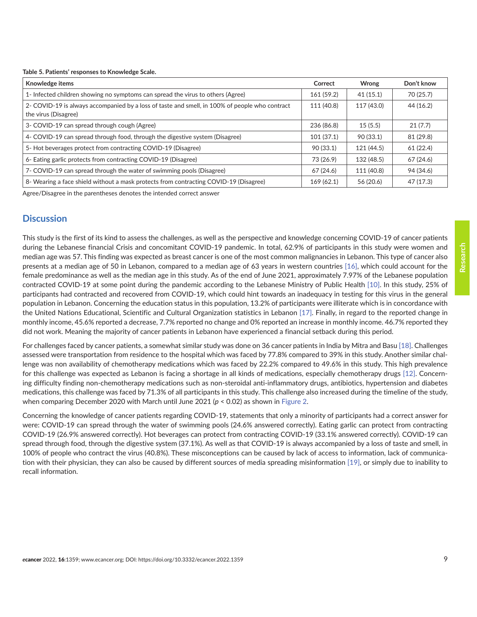<span id="page-8-0"></span>**Table 5. Patients' responses to Knowledge Scale.**

| Knowledge items                                                                                                        | Correct    | Wrong      | Don't know |
|------------------------------------------------------------------------------------------------------------------------|------------|------------|------------|
| 1- Infected children showing no symptoms can spread the virus to others (Agree)                                        | 161 (59.2) | 41(15.1)   | 70 (25.7)  |
| 2- COVID-19 is always accompanied by a loss of taste and smell, in 100% of people who contract<br>the virus (Disagree) | 111 (40.8) | 117 (43.0) | 44 (16.2)  |
| 3- COVID-19 can spread through cough (Agree)                                                                           | 236 (86.8) | 15(5.5)    | 21(7.7)    |
| 4- COVID-19 can spread through food, through the digestive system (Disagree)                                           | 101(37.1)  | 90 (33.1)  | 81 (29.8)  |
| 5- Hot beverages protect from contracting COVID-19 (Disagree)                                                          |            | 121 (44.5) | 61 (22.4)  |
| 6- Eating garlic protects from contracting COVID-19 (Disagree)                                                         | 73 (26.9)  | 132 (48.5) | 67 (24.6)  |
| 7- COVID-19 can spread through the water of swimming pools (Disagree)                                                  |            | 111 (40.8) | 94 (34.6)  |
| 8- Wearing a face shield without a mask protects from contracting COVID-19 (Disagree)                                  | 169(62.1)  | 56 (20.6)  | 47 (17.3)  |

Agree/Disagree in the parentheses denotes the intended correct answer

### **Discussion**

This study is the first of its kind to assess the challenges, as well as the perspective and knowledge concerning COVID-19 of cancer patients during the Lebanese financial Crisis and concomitant COVID-19 pandemic. In total, 62.9% of participants in this study were women and median age was 57. This finding was expected as breast cancer is one of the most common malignancies in Lebanon. This type of cancer also presents at a median age of 50 in Lebanon, compared to a median age of 63 years in western countries [\[16\],](#page-13-0) which could account for the female predominance as well as the median age in this study. As of the end of June 2021, approximately 7.97% of the Lebanese population contracted COVID-19 at some point during the pandemic according to the Lebanese Ministry of Public Health [\[10\].](#page-12-0) In this study, 25% of participants had contracted and recovered from COVID-19, which could hint towards an inadequacy in testing for this virus in the general population in Lebanon. Concerning the education status in this population, 13.2% of participants were illiterate which is in concordance with the United Nations Educational, Scientific and Cultural Organization statistics in Lebanon [\[17\].](#page-13-0) Finally, in regard to the reported change in monthly income, 45.6% reported a decrease, 7.7% reported no change and 0% reported an increase in monthly income. 46.7% reported they did not work. Meaning the majority of cancer patients in Lebanon have experienced a financial setback during this period.

For challenges faced by cancer patients, a somewhat similar study was done on 36 cancer patients in India by Mitra and Basu [\[18\]](#page-13-0). Challenges assessed were transportation from residence to the hospital which was faced by 77.8% compared to 39% in this study. Another similar challenge was non availability of chemotherapy medications which was faced by 22.2% compared to 49.6% in this study. This high prevalence for this challenge was expected as Lebanon is facing a shortage in all kinds of medications, especially chemotherapy drugs [\[12\]](#page-12-0). Concerning difficulty finding non-chemotherapy medications such as non-steroidal anti-inflammatory drugs, antibiotics, hypertension and diabetes medications, this challenge was faced by 71.3% of all participants in this study. This challenge also increased during the timeline of the study, when comparing December 2020 with March until June 2021 (*p* < 0.02) as shown in [Figure 2.](#page-10-0)

Concerning the knowledge of cancer patients regarding COVID-19, statements that only a minority of participants had a correct answer for were: COVID-19 can spread through the water of swimming pools (24.6% answered correctly). Eating garlic can protect from contracting COVID-19 (26.9% answered correctly). Hot beverages can protect from contracting COVID-19 (33.1% answered correctly). COVID-19 can spread through food, through the digestive system (37.1%). As well as that COVID-19 is always accompanied by a loss of taste and smell, in 100% of people who contract the virus (40.8%). These misconceptions can be caused by lack of access to information, lack of communication with their physician, they can also be caused by different sources of media spreading misinformation [\[19\]](#page-13-0), or simply due to inability to recall information.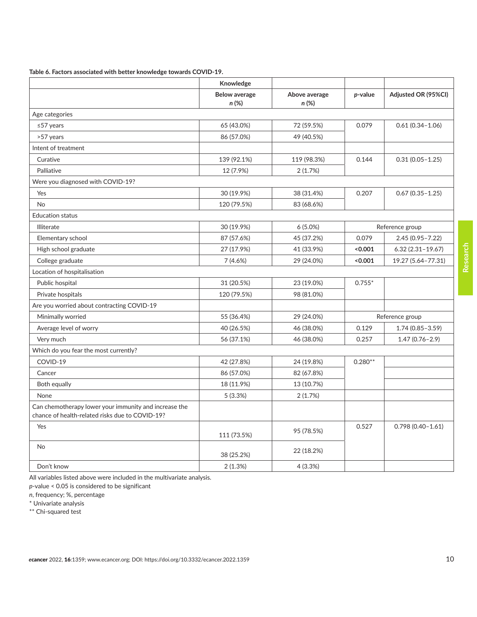<span id="page-9-0"></span>**Table 6. Factors associated with better knowledge towards COVID-19.**

|                                                       | Knowledge            |               |           |                      |
|-------------------------------------------------------|----------------------|---------------|-----------|----------------------|
|                                                       | <b>Below average</b> | Above average | p-value   | Adjusted OR (95%CI)  |
|                                                       | n(%)                 | n(%)          |           |                      |
| Age categories                                        |                      |               |           |                      |
| $\leq$ 57 years                                       | 65 (43.0%)           | 72 (59.5%)    | 0.079     | $0.61(0.34 - 1.06)$  |
| >57 years                                             | 86 (57.0%)           | 49 (40.5%)    |           |                      |
| Intent of treatment                                   |                      |               |           |                      |
| Curative                                              | 139 (92.1%)          | 119 (98.3%)   | 0.144     | $0.31(0.05 - 1.25)$  |
| Palliative                                            | 12 (7.9%)            | 2(1.7%)       |           |                      |
| Were you diagnosed with COVID-19?                     |                      |               |           |                      |
| Yes                                                   | 30 (19.9%)           | 38 (31.4%)    | 0.207     | $0.67(0.35 - 1.25)$  |
| <b>No</b>                                             | 120 (79.5%)          | 83 (68.6%)    |           |                      |
| <b>Education status</b>                               |                      |               |           |                      |
| <b>Illiterate</b>                                     | 30 (19.9%)           | $6(5.0\%)$    |           | Reference group      |
| Elementary school                                     | 87 (57.6%)           | 45 (37.2%)    | 0.079     | 2.45 (0.95-7.22)     |
| High school graduate                                  | 27 (17.9%)           | 41 (33.9%)    | < 0.001   | $6.32$ (2.31-19.67)  |
| College graduate                                      | 7(4.6%)              | 29 (24.0%)    | < 0.001   | 19.27 (5.64-77.31)   |
| Location of hospitalisation                           |                      |               |           |                      |
| Public hospital                                       | 31 (20.5%)           | 23 (19.0%)    | $0.755*$  |                      |
| Private hospitals                                     | 120 (79.5%)          | 98 (81.0%)    |           |                      |
| Are you worried about contracting COVID-19            |                      |               |           |                      |
| Minimally worried                                     | 55 (36.4%)           | 29 (24.0%)    |           | Reference group      |
| Average level of worry                                | 40 (26.5%)           | 46 (38.0%)    | 0.129     | $1.74(0.85 - 3.59)$  |
| Very much                                             | 56 (37.1%)           | 46 (38.0%)    | 0.257     | $1.47(0.76 - 2.9)$   |
| Which do you fear the most currently?                 |                      |               |           |                      |
| COVID-19                                              | 42 (27.8%)           | 24 (19.8%)    | $0.280**$ |                      |
| Cancer                                                | 86 (57.0%)           | 82 (67.8%)    |           |                      |
| Both equally                                          | 18 (11.9%)           | 13 (10.7%)    |           |                      |
| None                                                  | 5 (3.3%)             | 2(1.7%)       |           |                      |
| Can chemotherapy lower your immunity and increase the |                      |               |           |                      |
| chance of health-related risks due to COVID-19?       |                      |               |           |                      |
| Yes                                                   | 111 (73.5%)          | 95 (78.5%)    | 0.527     | $0.798(0.40 - 1.61)$ |
| <b>No</b>                                             | 38 (25.2%)           | 22 (18.2%)    |           |                      |
| Don't know                                            | 2(1.3%)              | 4(3.3%)       |           |                      |

All variables listed above were included in the multivariate analysis.

*p*-value < 0.05 is considered to be significant

*n*, frequency; %, percentage

\* Univariate analysis

\*\* Chi-squared test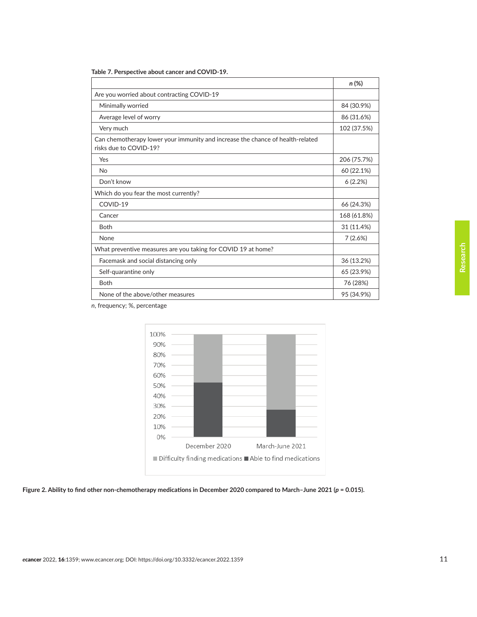|                                                                                                          | $n(\%)$     |
|----------------------------------------------------------------------------------------------------------|-------------|
| Are you worried about contracting COVID-19                                                               |             |
| Minimally worried                                                                                        | 84 (30.9%)  |
| Average level of worry                                                                                   | 86 (31.6%)  |
| Very much                                                                                                | 102 (37.5%) |
| Can chemotherapy lower your immunity and increase the chance of health-related<br>risks due to COVID-19? |             |
| Yes                                                                                                      | 206 (75.7%) |
| No                                                                                                       | 60 (22.1%)  |
| Don't know                                                                                               | 6(2.2%)     |
| Which do you fear the most currently?                                                                    |             |
| COVID-19                                                                                                 | 66 (24.3%)  |
| Cancer                                                                                                   | 168 (61.8%) |
| <b>Both</b>                                                                                              | 31 (11.4%)  |
| None                                                                                                     | 7(2.6%)     |
| What preventive measures are you taking for COVID 19 at home?                                            |             |
| Facemask and social distancing only                                                                      | 36 (13.2%)  |
| Self-quarantine only                                                                                     | 65 (23.9%)  |
| <b>Both</b>                                                                                              | 76 (28%)    |
| None of the above/other measures                                                                         | 95 (34.9%)  |

<span id="page-10-0"></span>

| Table 7. Perspective about cancer and COVID-19. |  |
|-------------------------------------------------|--|
|-------------------------------------------------|--|



*n*, frequency; %, percentage

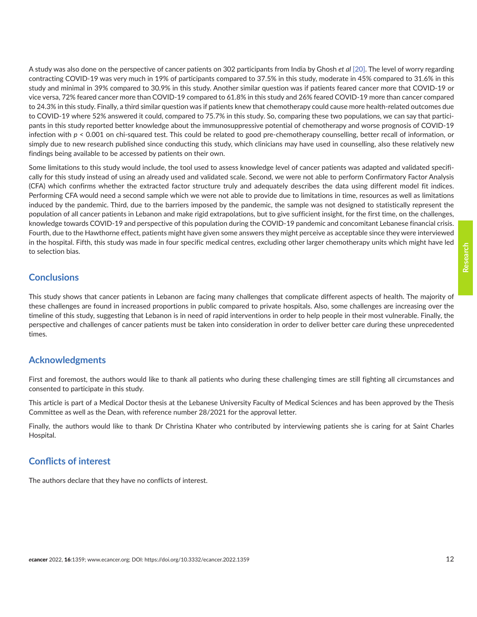A study was also done on the perspective of cancer patients on 302 participants from India by Ghosh *et al* [\[20\].](#page-13-0) The level of worry regarding contracting COVID-19 was very much in 19% of participants compared to 37.5% in this study, moderate in 45% compared to 31.6% in this study and minimal in 39% compared to 30.9% in this study. Another similar question was if patients feared cancer more that COVID-19 or vice versa, 72% feared cancer more than COVID-19 compared to 61.8% in this study and 26% feared COVID-19 more than cancer compared to 24.3% in this study. Finally, a third similar question was if patients knew that chemotherapy could cause more health-related outcomes due to COVID-19 where 52% answered it could, compared to 75.7% in this study. So, comparing these two populations, we can say that participants in this study reported better knowledge about the immunosuppressive potential of chemotherapy and worse prognosis of COVID-19 infection with *p* < 0.001 on chi-squared test. This could be related to good pre-chemotherapy counselling, better recall of information, or simply due to new research published since conducting this study, which clinicians may have used in counselling, also these relatively new findings being available to be accessed by patients on their own.

Some limitations to this study would include, the tool used to assess knowledge level of cancer patients was adapted and validated specifically for this study instead of using an already used and validated scale. Second, we were not able to perform Confirmatory Factor Analysis (CFA) which confirms whether the extracted factor structure truly and adequately describes the data using different model fit indices. Performing CFA would need a second sample which we were not able to provide due to limitations in time, resources as well as limitations induced by the pandemic. Third, due to the barriers imposed by the pandemic, the sample was not designed to statistically represent the population of all cancer patients in Lebanon and make rigid extrapolations, but to give sufficient insight, for the first time, on the challenges, knowledge towards COVID-19 and perspective of this population during the COVID-19 pandemic and concomitant Lebanese financial crisis. Fourth, due to the Hawthorne effect, patients might have given some answers they might perceive as acceptable since they were interviewed in the hospital. Fifth, this study was made in four specific medical centres, excluding other larger chemotherapy units which might have led to selection bias.

# **Conclusions**

This study shows that cancer patients in Lebanon are facing many challenges that complicate different aspects of health. The majority of these challenges are found in increased proportions in public compared to private hospitals. Also, some challenges are increasing over the timeline of this study, suggesting that Lebanon is in need of rapid interventions in order to help people in their most vulnerable. Finally, the perspective and challenges of cancer patients must be taken into consideration in order to deliver better care during these unprecedented times.

# **Acknowledgments**

First and foremost, the authors would like to thank all patients who during these challenging times are still fighting all circumstances and consented to participate in this study.

This article is part of a Medical Doctor thesis at the Lebanese University Faculty of Medical Sciences and has been approved by the Thesis Committee as well as the Dean, with reference number 28/2021 for the approval letter.

Finally, the authors would like to thank Dr Christina Khater who contributed by interviewing patients she is caring for at Saint Charles Hospital.

# **Conflicts of interest**

The authors declare that they have no conflicts of interest.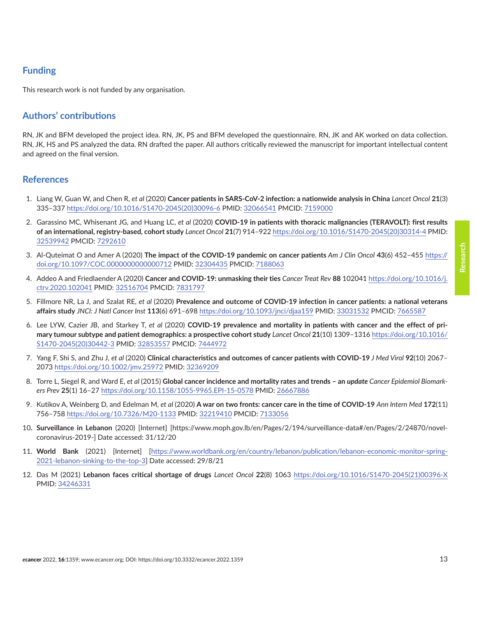# <span id="page-12-0"></span>**Funding**

This research work is not funded by any organisation.

# **Authors' contributions**

RN, JK and BFM developed the project idea. RN, JK, PS and BFM developed the questionnaire. RN, JK and AK worked on data collection. RN, JK, HS and PS analyzed the data. RN drafted the paper. All authors critically reviewed the manuscript for important intellectual content and agreed on the final version.

### **References**

- 1. Liang W, Guan W, and Chen R, *et al* (2020) **Cancer patients in SARS-CoV-2 infection: a nationwide analysis in China** *Lancet Oncol* **21**(3) 335–337 [https://doi.org/10.1016/S1470-2045\(20\)30096-6](https://doi.org/10.1016/S1470-2045(20)30096-6) PMID: [32066541](http://www.ncbi.nlm.nih.gov/pubmed/32066541) PMCID: [7159000](http://www.ncbi.nlm.nih.gov/pmc/articles/PMC7159000)
- 2. Garassino MC, Whisenant JG, and Huang LC, *et al* (2020) **COVID-19 in patients with thoracic malignancies (TERAVOLT): first results of an international, registry-based, cohort study** *Lancet Oncol* **21**(7) 914–922 [https://doi.org/10.1016/S1470-2045\(20\)30314-4](https://doi.org/10.1016/S1470-2045(20)30314-4) PMID: [32539942](http://www.ncbi.nlm.nih.gov/pubmed/32539942) PMCID: [7292610](http://www.ncbi.nlm.nih.gov/pmc/articles/PMC7292610)
- 3. Al-Quteimat O and Amer A (2020) **The impact of the COVID-19 pandemic on cancer patients** *Am J Clin Oncol* **43**(6) 452–455 [https://](https://doi.org/10.1097/COC.0000000000000712) [doi.org/10.1097/COC.0000000000000712](https://doi.org/10.1097/COC.0000000000000712) PMID: [32304435](http://www.ncbi.nlm.nih.gov/pubmed/32304435) PMCID: [7188063](http://www.ncbi.nlm.nih.gov/pmc/articles/PMC7188063)
- 4. Addeo A and Friedlaender A (2020) **Cancer and COVID-19: unmasking their ties** *Cancer Treat Rev* **88** 102041 [https://doi.org/10.1016/j.](https://doi.org/10.1016/j.ctrv.2020.102041) [ctrv.2020.102041](https://doi.org/10.1016/j.ctrv.2020.102041) PMID: [32516704](http://www.ncbi.nlm.nih.gov/pubmed/32516704) PMCID: [7831797](http://www.ncbi.nlm.nih.gov/pmc/articles/PMC7831797)
- 5. Fillmore NR, La J, and Szalat RE, *et al* (2020) **Prevalence and outcome of COVID-19 infection in cancer patients: a national veterans affairs study** *JNCI: J Natl Cancer Inst* **113**(6) 691–698<https://doi.org/10.1093/jnci/djaa159> PMID: [33031532](http://www.ncbi.nlm.nih.gov/pubmed/33031532) PMCID: [7665587](http://www.ncbi.nlm.nih.gov/pmc/articles/PMC7665587)
- 6. Lee LYW, Cazier JB, and Starkey T, *et al* (2020) **COVID-19 prevalence and mortality in patients with cancer and the effect of primary tumour subtype and patient demographics: a prospective cohort study** *Lancet Oncol* **21**(10) 1309–1316 [https://doi.org/10.1016/](https://doi.org/10.1016/S1470-2045(20)30442-3) [S1470-2045\(20\)30442-3](https://doi.org/10.1016/S1470-2045(20)30442-3) PMID: [32853557](http://www.ncbi.nlm.nih.gov/pubmed/32853557) PMCID: [7444972](http://www.ncbi.nlm.nih.gov/pmc/articles/PMC7444972)
- 7. Yang F, Shi S, and Zhu J, *et al* (2020) **Clinical characteristics and outcomes of cancer patients with COVID-19** *J Med Virol* **92**(10) 2067– 2073<https://doi.org/10.1002/jmv.25972> PMID: [32369209](http://www.ncbi.nlm.nih.gov/pubmed/32369209)
- 8. Torre L, Siegel R, and Ward E, et al (2015) Global cancer incidence and mortality rates and trends an *update Cancer Epidemiol Biomarkers Prev* **25**(1) 16–27 <https://doi.org/10.1158/1055-9965.EPI-15-0578>PMID: [26667886](http://www.ncbi.nlm.nih.gov/pubmed/26667886)
- 9. Kutikov A, Weinberg D, and Edelman M, *et al* (2020) **A war on two fronts: cancer care in the time of COVID-19** *Ann Intern Med* **172**(11) 756–758 <https://doi.org/10.7326/M20-1133> PMID: [32219410](http://www.ncbi.nlm.nih.gov/pubmed/32219410) PMCID: [7133056](http://www.ncbi.nlm.nih.gov/pmc/articles/PMC7133056)
- 10**. Surveillance in Lebanon** (2020) [Internet] [https://www.moph.gov.lb/en/Pages/2/194/surveillance-data#/en/Pages/2/24870/novelcoronavirus-2019-] Date accessed: 31/12/20
- 11. **World Bank** (2021) [Internet] [\[https://www.worldbank.org/en/country/lebanon/publication/lebanon-economic-monitor-spring-](https://www.worldbank.org/en/country/lebanon/publication/lebanon-economic-monitor-spring-2021-lebanon-sinking-to-the-top-3)[2021-lebanon-sinking-to-the-top-3\]](https://www.worldbank.org/en/country/lebanon/publication/lebanon-economic-monitor-spring-2021-lebanon-sinking-to-the-top-3) Date accessed: 29/8/21
- 12. Das M (2021) **Lebanon faces critical shortage of drugs** *Lancet Oncol* **22**(8) 1063 [https://doi.org/10.1016/S1470-2045\(21\)00396-X](https://doi.org/10.1016/S1470-2045(21)00396-X) PMID: [34246331](http://www.ncbi.nlm.nih.gov/pubmed/34246331)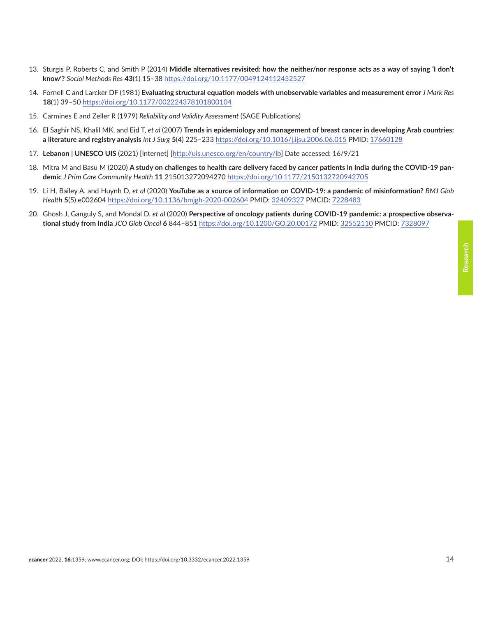- <span id="page-13-0"></span>13. Sturgis P, Roberts C, and Smith P (2014) **Middle alternatives revisited: how the neither/nor response acts as a way of saying 'I don't know'?** *Sociol Methods Res* **43**(1) 15–38<https://doi.org/10.1177/0049124112452527>
- 14. Fornell C and Larcker DF (1981) **Evaluating structural equation models with unobservable variables and measurement error** *J Mark Res* **18**(1) 39–50<https://doi.org/10.1177/002224378101800104>
- 15. Carmines E and Zeller R (1979) *Reliability and Validity Assessment* (SAGE Publications)
- 16. El Saghir NS, Khalil MK, and Eid T, *et al* (2007) **Trends in epidemiology and management of breast cancer in developing Arab countries: a literature and registry analysis** *Int J Surg* **5**(4) 225–233 <https://doi.org/10.1016/j.ijsu.2006.06.015> PMID: [17660128](http://www.ncbi.nlm.nih.gov/pubmed/17660128)
- 17. **Lebanon | UNESCO UIS** (2021) [Internet] [[http://uis.unesco.org/en/country/lb\]](http://uis.unesco.org/en/country/lb) Date accessed: 16/9/21
- 18. Mitra M and Basu M (2020) **A study on challenges to health care delivery faced by cancer patients in India during the COVID-19 pandemic** *J Prim Care Community Health* **11** 215013272094270<https://doi.org/10.1177/2150132720942705>
- 19. Li H, Bailey A, and Huynh D, *et al* (2020) **YouTube as a source of information on COVID-19: a pandemic of misinformation?** *BMJ Glob Health* **5**(5) e002604<https://doi.org/10.1136/bmjgh-2020-002604>PMID: [32409327](http://www.ncbi.nlm.nih.gov/pubmed/32409327) PMCID: [7228483](http://www.ncbi.nlm.nih.gov/pmc/articles/PMC7228483)
- 20. Ghosh J, Ganguly S, and Mondal D, *et al* (2020) **Perspective of oncology patients during COVID-19 pandemic: a prospective observational study from India** *JCO Glob Oncol* **6** 844–851 <https://doi.org/10.1200/GO.20.00172> PMID: [32552110](http://www.ncbi.nlm.nih.gov/pubmed/32552110) PMCID: [7328097](http://www.ncbi.nlm.nih.gov/pmc/articles/PMC7328097)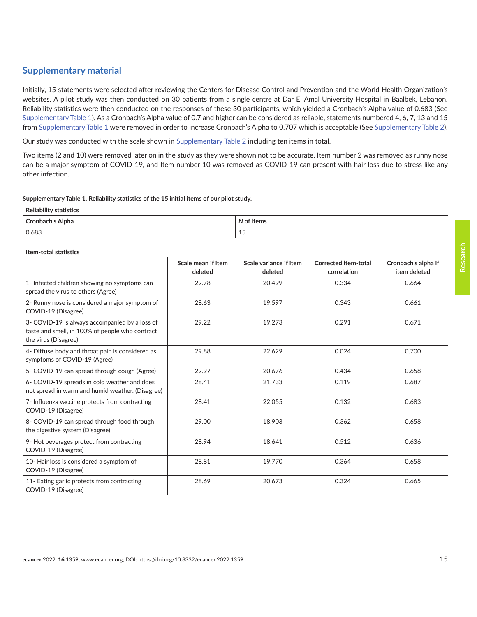# **Supplementary material**

Initially, 15 statements were selected after reviewing the Centers for Disease Control and Prevention and the World Health Organization's websites. A pilot study was then conducted on 30 patients from a single centre at Dar El Amal University Hospital in Baalbek, Lebanon. Reliability statistics were then conducted on the responses of these 30 participants, which yielded a Cronbach's Alpha value of 0.683 (See Supplementary Table 1). As a Cronbach's Alpha value of 0.7 and higher can be considered as reliable, statements numbered 4, 6, 7, 13 and 15 from Supplementary Table 1 were removed in order to increase Cronbach's Alpha to 0.707 which is acceptable (See [Supplementary Table 2](#page-15-0)).

Our study was conducted with the scale shown in [Supplementary Table 2](#page-15-0) including ten items in total.

Two items (2 and 10) were removed later on in the study as they were shown not to be accurate. Item number 2 was removed as runny nose can be a major symptom of COVID-19, and Item number 10 was removed as COVID-19 can present with hair loss due to stress like any other infection.

#### **Supplementary Table 1. Reliability statistics of the 15 initial items of our pilot study.**

| <b>Reliability statistics</b> |            |  |  |
|-------------------------------|------------|--|--|
| <b>Cronbach's Alpha</b>       | N of items |  |  |
| 0.683                         | 15<br>ن 1  |  |  |

#### **Item-total statistics**

|                                                                                                                           | Scale mean if item<br>deleted | Scale variance if item<br>deleted | Corrected item-total<br>correlation | Cronbach's alpha if<br>item deleted |
|---------------------------------------------------------------------------------------------------------------------------|-------------------------------|-----------------------------------|-------------------------------------|-------------------------------------|
| 1- Infected children showing no symptoms can<br>spread the virus to others (Agree)                                        | 29.78                         | 20.499                            | 0.334                               | 0.664                               |
| 2- Runny nose is considered a major symptom of<br>COVID-19 (Disagree)                                                     | 28.63                         | 19.597                            | 0.343                               | 0.661                               |
| 3- COVID-19 is always accompanied by a loss of<br>taste and smell, in 100% of people who contract<br>the virus (Disagree) | 29.22                         | 19.273                            | 0.291                               | 0.671                               |
| 4- Diffuse body and throat pain is considered as<br>symptoms of COVID-19 (Agree)                                          | 29.88                         | 22.629                            | 0.024                               | 0.700                               |
| 5- COVID-19 can spread through cough (Agree)                                                                              | 29.97                         | 20.676                            | 0.434                               | 0.658                               |
| 6- COVID-19 spreads in cold weather and does<br>not spread in warm and humid weather. (Disagree)                          | 28.41                         | 21.733                            | 0.119                               | 0.687                               |
| 7- Influenza vaccine protects from contracting<br>COVID-19 (Disagree)                                                     | 28.41                         | 22.055                            | 0.132                               | 0.683                               |
| 8- COVID-19 can spread through food through<br>the digestive system (Disagree)                                            | 29.00                         | 18.903                            | 0.362                               | 0.658                               |
| 9- Hot beverages protect from contracting<br>COVID-19 (Disagree)                                                          | 28.94                         | 18.641                            | 0.512                               | 0.636                               |
| 10- Hair loss is considered a symptom of<br>COVID-19 (Disagree)                                                           | 28.81                         | 19.770                            | 0.364                               | 0.658                               |
| 11- Eating garlic protects from contracting<br>COVID-19 (Disagree)                                                        | 28.69                         | 20.673                            | 0.324                               | 0.665                               |